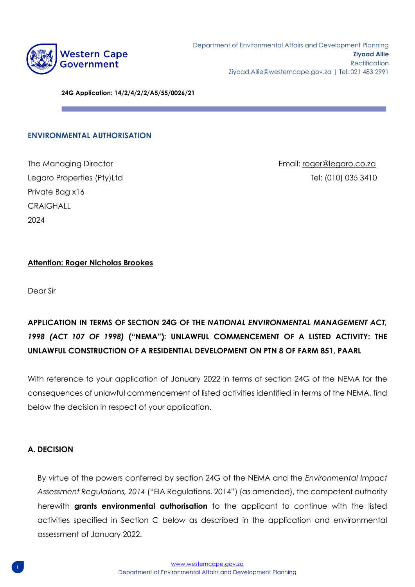

**24G Application: 14/2/4/2/2/A5/55/0026/21**

#### **ENVIRONMENTAL AUTHORISATION**

Private Bag x16 **CRAIGHALL** 2024

The Managing Director Email: [roger@legaro.co.za](mailto:roger@legaro.co.za) Legaro Properties (Pty)Ltd the theory of the telecommunity of the Tel: (010) 035 3410

#### **Attention: Roger Nicholas Brookes**

Dear Sir

# **APPLICATION IN TERMS OF SECTION 24G OF THE** *NATIONAL ENVIRONMENTAL MANAGEMENT ACT, 1998 (ACT 107 OF 1998)* **("NEMA"): UNLAWFUL COMMENCEMENT OF A LISTED ACTIVITY: THE UNLAWFUL CONSTRUCTION OF A RESIDENTIAL DEVELOPMENT ON PTN 8 OF FARM 851, PAARL**

With reference to your application of January 2022 in terms of section 24G of the NEMA for the consequences of unlawful commencement of listed activities identified in terms of the NEMA, find below the decision in respect of your application.

#### **A. DECISION**

By virtue of the powers conferred by section 24G of the NEMA and the *Environmental Impact Assessment Regulations, 2014* ("EIA Regulations, 2014") (as amended), the competent authority herewith **grants environmental authorisation** to the applicant to continue with the listed activities specified in Section C below as described in the application and environmental assessment of January 2022.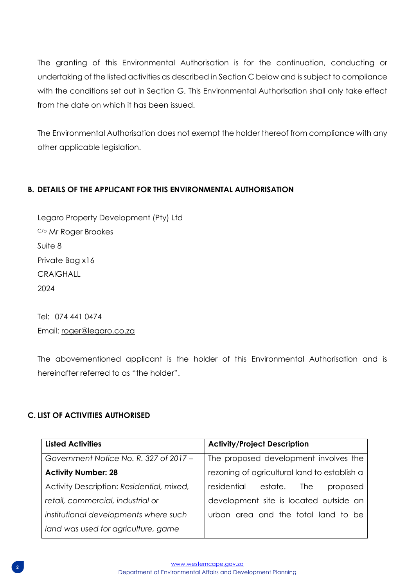The granting of this Environmental Authorisation is for the continuation, conducting or undertaking of the listed activities as described in Section C below and is subject to compliance with the conditions set out in Section G. This Environmental Authorisation shall only take effect from the date on which it has been issued.

The Environmental Authorisation does not exempt the holder thereof from compliance with any other applicable legislation.

## **B. DETAILS OF THE APPLICANT FOR THIS ENVIRONMENTAL AUTHORISATION**

Legaro Property Development (Pty) Ltd C/o Mr Roger Brookes Suite 8 Private Bag x16 **CRAIGHALL** 2024

Tel: 074 441 0474 Email: [roger@legaro.co.za](mailto:roger@legaro.co.za)

The abovementioned applicant is the holder of this Environmental Authorisation and is hereinafter referred to as "the holder".

## **C. LIST OF ACTIVITIES AUTHORISED**

| <b>Listed Activities</b>                  | <b>Activity/Project Description</b>          |
|-------------------------------------------|----------------------------------------------|
| Government Notice No. R. 327 of 2017 -    | The proposed development involves the        |
| <b>Activity Number: 28</b>                | rezoning of agricultural land to establish a |
| Activity Description: Residential, mixed, | residential<br>estate.<br>The<br>proposed    |
| retail, commercial, industrial or         | development site is located outside an       |
| institutional developments where such     | urban area and the total land to be          |
| land was used for agriculture, game       |                                              |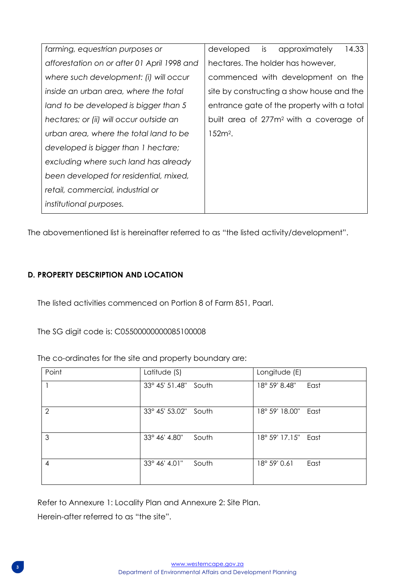| farming, equestrian purposes or             | developed is approximately<br>14.33                |
|---------------------------------------------|----------------------------------------------------|
| afforestation on or after 01 April 1998 and | hectares. The holder has however,                  |
| where such development: (i) will occur      | commenced with development on the                  |
| inside an urban area, where the total       | site by constructing a show house and the          |
| land to be developed is bigger than 5       | entrance gate of the property with a total         |
| hectares; or (ii) will occur outside an     | built area of 277m <sup>2</sup> with a coverage of |
| urban area, where the total land to be      | $152m2$ .                                          |
| developed is bigger than 1 hectare;         |                                                    |
| excluding where such land has already       |                                                    |
| been developed for residential, mixed,      |                                                    |
| retail, commercial, industrial or           |                                                    |
| institutional purposes.                     |                                                    |

The abovementioned list is hereinafter referred to as "the listed activity/development".

## **D. PROPERTY DESCRIPTION AND LOCATION**

The listed activities commenced on Portion 8 of Farm 851, Paarl.

The SG digit code is: C05500000000085100008

The co-ordinates for the site and property boundary are:

| Point         | Latitude $(S)$         | Longitude (E)         |
|---------------|------------------------|-----------------------|
|               | 33° 45' 51.48" South   | 18° 59' 8.48"<br>East |
| $\mathcal{P}$ | 33° 45' 53.02" South   | 18° 59' 18.00" East   |
| 3             | 33° 46' 4.80"<br>South | 18° 59' 17.15" East   |
| 4             | 33° 46' 4.01"<br>South | 18° 59' 0.61<br>East  |

Refer to Annexure 1: Locality Plan and Annexure 2: Site Plan.

Herein-after referred to as "the site".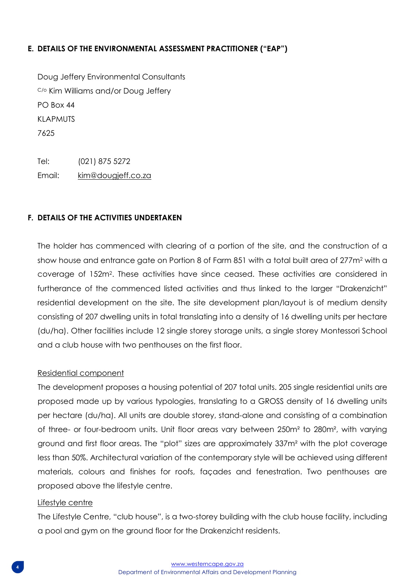## **E. DETAILS OF THE ENVIRONMENTAL ASSESSMENT PRACTITIONER ("EAP")**

Doug Jeffery Environmental Consultants C/o Kim Williams and/or Doug Jeffery PO Box 44 KLAPMUTS 7625

Tel: (021) 875 5272 Email: [kim@dougjeff.co.za](mailto:kim@dougjeff.co.za)

## **F. DETAILS OF THE ACTIVITIES UNDERTAKEN**

The holder has commenced with clearing of a portion of the site, and the construction of a show house and entrance gate on Portion 8 of Farm 851 with a total built area of 277m<sup>2</sup> with a coverage of 152m<sup>2</sup> . These activities have since ceased. These activities are considered in furtherance of the commenced listed activities and thus linked to the larger "Drakenzicht" residential development on the site. The site development plan/layout is of medium density consisting of 207 dwelling units in total translating into a density of 16 dwelling units per hectare (du/ha). Other facilities include 12 single storey storage units, a single storey Montessori School and a club house with two penthouses on the first floor.

#### Residential component

The development proposes a housing potential of 207 total units. 205 single residential units are proposed made up by various typologies, translating to a GROSS density of 16 dwelling units per hectare (du/ha). All units are double storey, stand-alone and consisting of a combination of three- or four-bedroom units. Unit floor areas vary between 250m² to 280m², with varying ground and first floor areas. The "plot" sizes are approximately 337m² with the plot coverage less than 50%. Architectural variation of the contemporary style will be achieved using different materials, colours and finishes for roofs, façades and fenestration. Two penthouses are proposed above the lifestyle centre.

#### Lifestyle centre

The Lifestyle Centre, "club house", is a two-storey building with the club house facility, including a pool and gym on the ground floor for the Drakenzicht residents.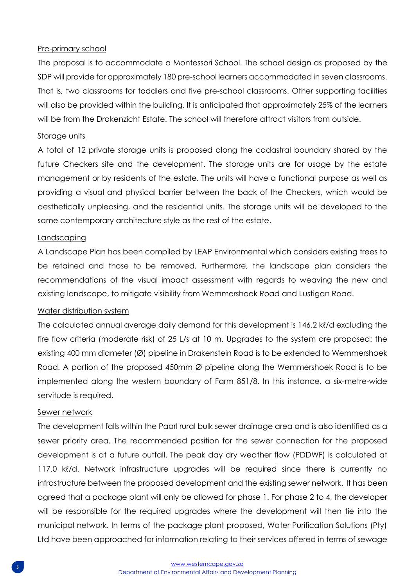## Pre-primary school

The proposal is to accommodate a Montessori School. The school design as proposed by the SDP will provide for approximately 180 pre-school learners accommodated in seven classrooms. That is, two classrooms for toddlers and five pre-school classrooms. Other supporting facilities will also be provided within the building. It is anticipated that approximately 25% of the learners will be from the Drakenzicht Estate. The school will therefore attract visitors from outside.

#### Storage units

A total of 12 private storage units is proposed along the cadastral boundary shared by the future Checkers site and the development. The storage units are for usage by the estate management or by residents of the estate. The units will have a functional purpose as well as providing a visual and physical barrier between the back of the Checkers, which would be aesthetically unpleasing, and the residential units. The storage units will be developed to the same contemporary architecture style as the rest of the estate.

#### **Landscaping**

A Landscape Plan has been compiled by LEAP Environmental which considers existing trees to be retained and those to be removed. Furthermore, the landscape plan considers the recommendations of the visual impact assessment with regards to weaving the new and existing landscape, to mitigate visibility from Wemmershoek Road and Lustigan Road.

#### Water distribution system

The calculated annual average daily demand for this development is 146.2 kl/d excluding the fire flow criteria (moderate risk) of 25 L/s at 10 m. Upgrades to the system are proposed: the existing 400 mm diameter (Ø) pipeline in Drakenstein Road is to be extended to Wemmershoek Road. A portion of the proposed 450mm Ø pipeline along the Wemmershoek Road is to be implemented along the western boundary of Farm 851/8. In this instance, a six-metre-wide servitude is required.

#### Sewer network

The development falls within the Paarl rural bulk sewer drainage area and is also identified as a sewer priority area. The recommended position for the sewer connection for the proposed development is at a future outfall. The peak day dry weather flow (PDDWF) is calculated at 117.0 kl/d. Network infrastructure upgrades will be required since there is currently no infrastructure between the proposed development and the existing sewer network. It has been agreed that a package plant will only be allowed for phase 1. For phase 2 to 4, the developer will be responsible for the required upgrades where the development will then tie into the municipal network. In terms of the package plant proposed, Water Purification Solutions (Pty) Ltd have been approached for information relating to their services offered in terms of sewage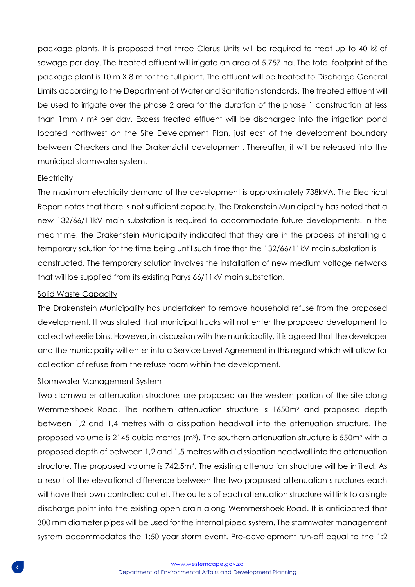package plants. It is proposed that three Clarus Units will be required to treat up to 40 kℓ of sewage per day. The treated effluent will irrigate an area of 5.757 ha. The total footprint of the package plant is 10 m X 8 m for the full plant. The effluent will be treated to Discharge General Limits according to the Department of Water and Sanitation standards. The treated effluent will be used to irrigate over the phase 2 area for the duration of the phase 1 construction at less than 1mm / m<sup>2</sup> per day. Excess treated effluent will be discharged into the irrigation pond located northwest on the Site Development Plan, just east of the development boundary between Checkers and the Drakenzicht development. Thereafter, it will be released into the municipal stormwater system.

#### **Electricity**

The maximum electricity demand of the development is approximately 738kVA. The Electrical Report notes that there is not sufficient capacity. The Drakenstein Municipality has noted that a new 132/66/11kV main substation is required to accommodate future developments. In the meantime, the Drakenstein Municipality indicated that they are in the process of installing a temporary solution for the time being until such time that the 132/66/11kV main substation is constructed. The temporary solution involves the installation of new medium voltage networks that will be supplied from its existing Parys 66/11kV main substation.

#### Solid Waste Capacity

The Drakenstein Municipality has undertaken to remove household refuse from the proposed development. It was stated that municipal trucks will not enter the proposed development to collect wheelie bins. However, in discussion with the municipality, it is agreed that the developer and the municipality will enter into a Service Level Agreement in this regard which will allow for collection of refuse from the refuse room within the development.

#### Stormwater Management System

Two stormwater attenuation structures are proposed on the western portion of the site along Wemmershoek Road. The northern attenuation structure is 1650m<sup>2</sup> and proposed depth between 1,2 and 1,4 metres with a dissipation headwall into the attenuation structure. The proposed volume is 2145 cubic metres  $(m<sup>3</sup>)$ . The southern attenuation structure is 550 $m<sup>2</sup>$  with a proposed depth of between 1,2 and 1,5 metres with a dissipation headwall into the attenuation structure. The proposed volume is 742.5m<sup>3</sup>. The existing attenuation structure will be infilled. As a result of the elevational difference between the two proposed attenuation structures each will have their own controlled outlet. The outlets of each attenuation structure will link to a single discharge point into the existing open drain along Wemmershoek Road. It is anticipated that 300 mm diameter pipes will be used for the internal piped system. The stormwater management system accommodates the 1:50 year storm event. Pre-development run-off equal to the 1:2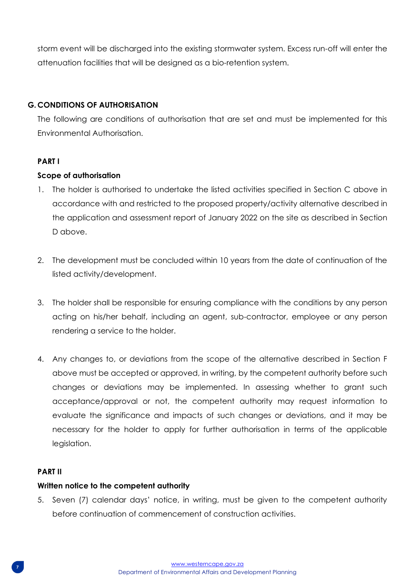storm event will be discharged into the existing stormwater system. Excess run-off will enter the attenuation facilities that will be designed as a bio-retention system.

## **G. CONDITIONS OF AUTHORISATION**

The following are conditions of authorisation that are set and must be implemented for this Environmental Authorisation.

## **PART I**

## **Scope of authorisation**

- 1. The holder is authorised to undertake the listed activities specified in Section C above in accordance with and restricted to the proposed property/activity alternative described in the application and assessment report of January 2022 on the site as described in Section D above.
- 2. The development must be concluded within 10 years from the date of continuation of the listed activity/development.
- 3. The holder shall be responsible for ensuring compliance with the conditions by any person acting on his/her behalf, including an agent, sub-contractor, employee or any person rendering a service to the holder.
- 4. Any changes to, or deviations from the scope of the alternative described in Section F above must be accepted or approved, in writing, by the competent authority before such changes or deviations may be implemented. In assessing whether to grant such acceptance/approval or not, the competent authority may request information to evaluate the significance and impacts of such changes or deviations, and it may be necessary for the holder to apply for further authorisation in terms of the applicable legislation.

## **PART II**

#### **Written notice to the competent authority**

5. Seven (7) calendar days' notice, in writing, must be given to the competent authority before continuation of commencement of construction activities.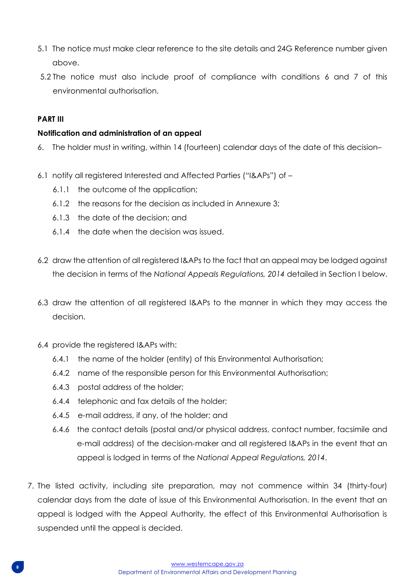- 5.1 The notice must make clear reference to the site details and 24G Reference number given above.
- 5.2 The notice must also include proof of compliance with conditions 6 and 7 of this environmental authorisation.

## **PART III**

## **Notification and administration of an appeal**

- 6. The holder must in writing, within 14 (fourteen) calendar days of the date of this decision–
- 6.1 notify all registered Interested and Affected Parties ("I&APs") of
	- 6.1.1 the outcome of the application;
	- 6.1.2 the reasons for the decision as included in Annexure 3;
	- 6.1.3 the date of the decision; and
	- 6.1.4 the date when the decision was issued.
- 6.2 draw the attention of all registered I&APs to the fact that an appeal may be lodged against the decision in terms of the *National Appeals Regulations, 2014* detailed in Section I below.
- 6.3 draw the attention of all registered I&APs to the manner in which they may access the decision.
- 6.4 provide the registered I&APs with:
	- 6.4.1 the name of the holder (entity) of this Environmental Authorisation;
	- 6.4.2 name of the responsible person for this Environmental Authorisation;
	- 6.4.3 postal address of the holder;
	- 6.4.4 telephonic and fax details of the holder;
	- 6.4.5 e-mail address, if any, of the holder; and
	- 6.4.6 the contact details (postal and/or physical address, contact number, facsimile and e-mail address) of the decision-maker and all registered I&APs in the event that an appeal is lodged in terms of the *National Appeal Regulations, 2014*.
- 7. The listed activity, including site preparation, may not commence within 34 (thirty-four) calendar days from the date of issue of this Environmental Authorisation. In the event that an appeal is lodged with the Appeal Authority, the effect of this Environmental Authorisation is suspended until the appeal is decided.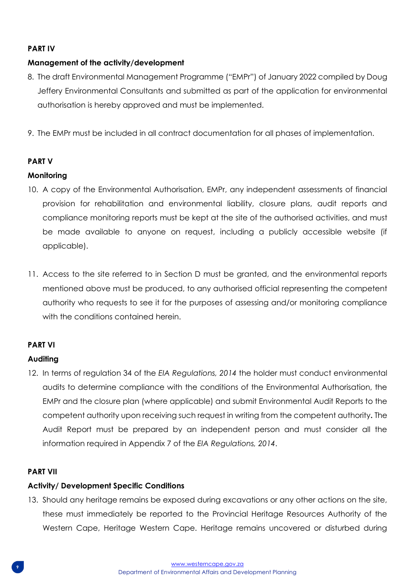## **PART IV**

## **Management of the activity/development**

- 8. The draft Environmental Management Programme ("EMPr") of January 2022 compiled by Doug Jeffery Environmental Consultants and submitted as part of the application for environmental authorisation is hereby approved and must be implemented.
- 9. The EMPr must be included in all contract documentation for all phases of implementation.

## **PART V**

## **Monitoring**

- 10. A copy of the Environmental Authorisation, EMPr, any independent assessments of financial provision for rehabilitation and environmental liability, closure plans, audit reports and compliance monitoring reports must be kept at the site of the authorised activities, and must be made available to anyone on request, including a publicly accessible website (if applicable).
- 11. Access to the site referred to in Section D must be granted, and the environmental reports mentioned above must be produced, to any authorised official representing the competent authority who requests to see it for the purposes of assessing and/or monitoring compliance with the conditions contained herein.

## **PART VI**

## **Auditing**

12. In terms of regulation 34 of the *EIA Regulations, 2014* the holder must conduct environmental audits to determine compliance with the conditions of the Environmental Authorisation, the EMPr and the closure plan (where applicable) and submit Environmental Audit Reports to the competent authority upon receiving such request in writing from the competent authority**.** The Audit Report must be prepared by an independent person and must consider all the information required in Appendix 7 of the *EIA Regulations, 2014*.

## **PART VII**

## **Activity/ Development Specific Conditions**

13. Should any heritage remains be exposed during excavations or any other actions on the site, these must immediately be reported to the Provincial Heritage Resources Authority of the Western Cape, Heritage Western Cape. Heritage remains uncovered or disturbed during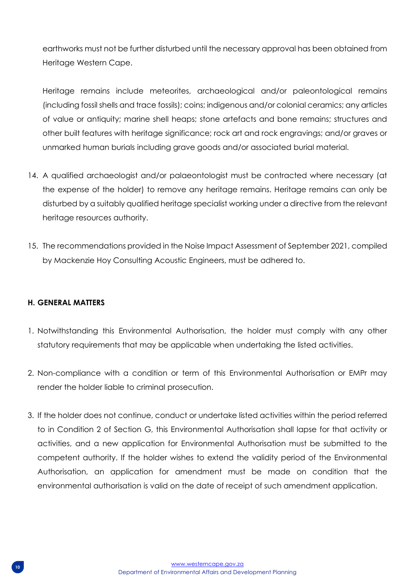earthworks must not be further disturbed until the necessary approval has been obtained from Heritage Western Cape.

Heritage remains include meteorites, archaeological and/or paleontological remains (including fossil shells and trace fossils); coins; indigenous and/or colonial ceramics; any articles of value or antiquity; marine shell heaps; stone artefacts and bone remains; structures and other built features with heritage significance; rock art and rock engravings; and/or graves or unmarked human burials including grave goods and/or associated burial material.

- 14. A qualified archaeologist and/or palaeontologist must be contracted where necessary (at the expense of the holder) to remove any heritage remains. Heritage remains can only be disturbed by a suitably qualified heritage specialist working under a directive from the relevant heritage resources authority.
- 15. The recommendations provided in the Noise Impact Assessment of September 2021, compiled by Mackenzie Hoy Consulting Acoustic Engineers, must be adhered to.

## **H. GENERAL MATTERS**

- 1. Notwithstanding this Environmental Authorisation, the holder must comply with any other statutory requirements that may be applicable when undertaking the listed activities.
- 2. Non-compliance with a condition or term of this Environmental Authorisation or EMPr may render the holder liable to criminal prosecution.
- 3. If the holder does not continue, conduct or undertake listed activities within the period referred to in Condition 2 of Section G, this Environmental Authorisation shall lapse for that activity or activities, and a new application for Environmental Authorisation must be submitted to the competent authority. If the holder wishes to extend the validity period of the Environmental Authorisation, an application for amendment must be made on condition that the environmental authorisation is valid on the date of receipt of such amendment application.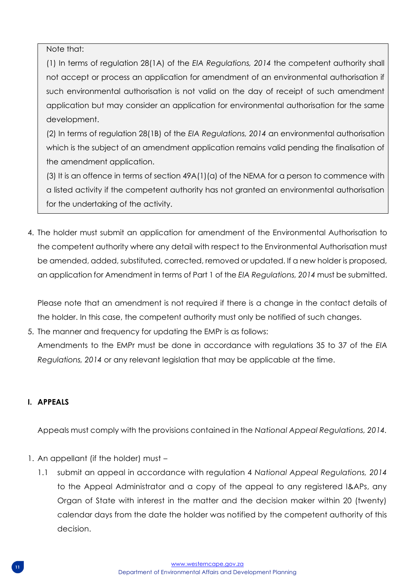Note that:

(1) In terms of regulation 28(1A) of the *EIA Regulations, 2014* the competent authority shall not accept or process an application for amendment of an environmental authorisation if such environmental authorisation is not valid on the day of receipt of such amendment application but may consider an application for environmental authorisation for the same development.

(2) In terms of regulation 28(1B) of the *EIA Regulations, 2014* an environmental authorisation which is the subject of an amendment application remains valid pending the finalisation of the amendment application.

(3) It is an offence in terms of section  $49A(1)(a)$  of the NEMA for a person to commence with a listed activity if the competent authority has not granted an environmental authorisation for the undertaking of the activity.

4. The holder must submit an application for amendment of the Environmental Authorisation to the competent authority where any detail with respect to the Environmental Authorisation must be amended, added, substituted, corrected, removed or updated. If a new holder is proposed, an application for Amendment in terms of Part 1 of the *EIA Regulations, 2014* must be submitted.

Please note that an amendment is not required if there is a change in the contact details of the holder. In this case, the competent authority must only be notified of such changes.

5. The manner and frequency for updating the EMPr is as follows: Amendments to the EMPr must be done in accordance with regulations 35 to 37 of the *EIA Regulations, 2014* or any relevant legislation that may be applicable at the time.

## **I. APPEALS**

Appeals must comply with the provisions contained in the *National Appeal Regulations, 2014.*

- 1. An appellant (if the holder) must
	- 1.1 submit an appeal in accordance with regulation 4 *National Appeal Regulations, 2014*  to the Appeal Administrator and a copy of the appeal to any registered I&APs, any Organ of State with interest in the matter and the decision maker within 20 (twenty) calendar days from the date the holder was notified by the competent authority of this decision.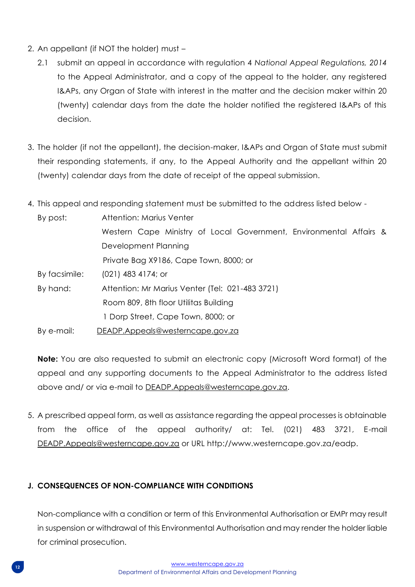- 2. An appellant (if NOT the holder) must
	- 2.1 submit an appeal in accordance with regulation 4 *National Appeal Regulations, 2014*  to the Appeal Administrator, and a copy of the appeal to the holder, any registered I&APs, any Organ of State with interest in the matter and the decision maker within 20 (twenty) calendar days from the date the holder notified the registered I&APs of this decision.
- 3. The holder (if not the appellant), the decision-maker, I&APs and Organ of State must submit their responding statements, if any, to the Appeal Authority and the appellant within 20 (twenty) calendar days from the date of receipt of the appeal submission.
- 4. This appeal and responding statement must be submitted to the address listed below -

| By post:      | Attention: Marius Venter                                           |  |  |  |
|---------------|--------------------------------------------------------------------|--|--|--|
|               | Western Cape Ministry of Local Government, Environmental Affairs & |  |  |  |
|               | Development Planning                                               |  |  |  |
|               | Private Bag X9186, Cape Town, 8000; or                             |  |  |  |
| By facsimile: | $(021)$ 483 4174; or                                               |  |  |  |
| By hand:      | Attention: Mr Marius Venter (Tel: 021-483 3721)                    |  |  |  |
|               | Room 809, 8th floor Utilitas Building                              |  |  |  |
|               | 1 Dorp Street, Cape Town, 8000; or                                 |  |  |  |
| By e-mail:    | DEADP.Appeals@westerncape.gov.za                                   |  |  |  |

**Note:** You are also requested to submit an electronic copy (Microsoft Word format) of the appeal and any supporting documents to the Appeal Administrator to the address listed above and/ or via e-mail to [DEADP.Appeals@westerncape.gov.za.](mailto:DEADP.Appeals@westerncape.gov.za)

5. A prescribed appeal form, as well as assistance regarding the appeal processes is obtainable from the office of the appeal authority/ at: Tel. (021) 483 3721, E-mail [DEADP.Appeals@westerncape.gov.za](mailto:DEADP.Appeals@westerncape.gov.za) or URL http://www.westerncape.gov.za/eadp.

## **J. CONSEQUENCES OF NON-COMPLIANCE WITH CONDITIONS**

Non-compliance with a condition or term of this Environmental Authorisation or EMPr may result in suspension or withdrawal of this Environmental Authorisation and may render the holder liable for criminal prosecution.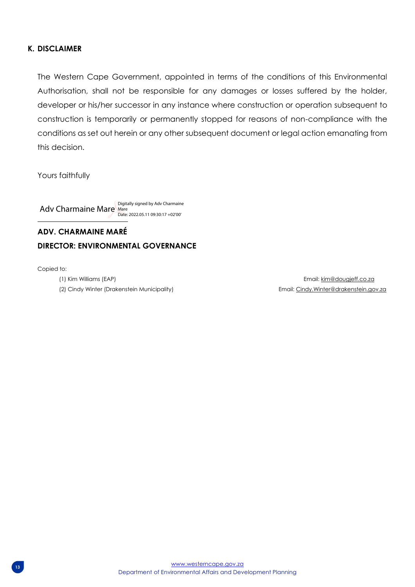#### **K. DISCLAIMER**

The Western Cape Government, appointed in terms of the conditions of this Environmental Authorisation, shall not be responsible for any damages or losses suffered by the holder, developer or his/her successor in any instance where construction or operation subsequent to construction is temporarily or permanently stopped for reasons of non-compliance with the conditions as set out herein or any other subsequent document or legal action emanating from this decision.

Yours faithfully

Adv Charmaine Mare Mare 1986 Charmaine Date: 2022.05.11 09:30:17 +02'00'

## **ADV. CHARMAINE MARÉ DIRECTOR: ENVIRONMENTAL GOVERNANCE**

Copied to:

(1) Kim Williams (EAP) Email[: kim@dougjeff.co.za](mailto:kim@dougjeff.co.za) (2) Cindy Winter (Drakenstein Municipality) Email[: Cindy.Winter@drakenstein.gov.za](mailto:Cindy.Winter@drakenstein.gov.za)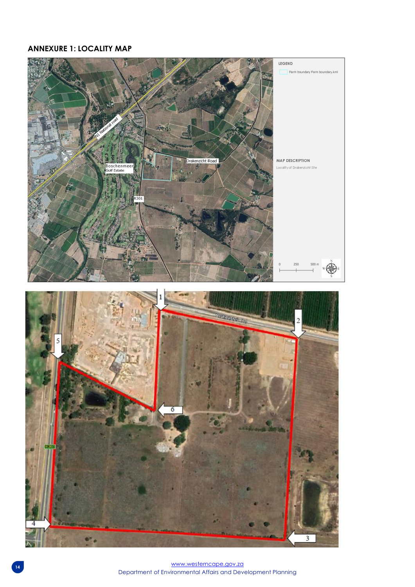## **ANNEXURE 1: LOCALITY MAP**

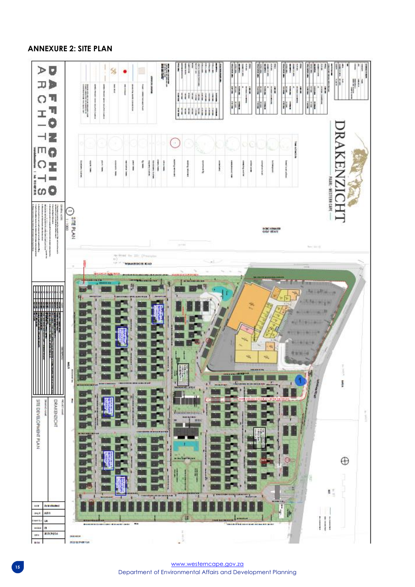## **ANNEXURE 2: SITE PLAN**

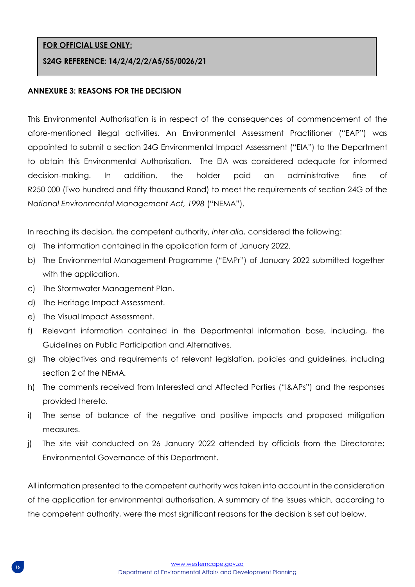## **FOR OFFICIAL USE ONLY:**

#### **S24G REFERENCE: 14/2/4/2/2/A5/55/0026/21**

#### **ANNEXURE 3: REASONS FOR THE DECISION**

This Environmental Authorisation is in respect of the consequences of commencement of the afore-mentioned illegal activities. An Environmental Assessment Practitioner ("EAP") was appointed to submit a section 24G Environmental Impact Assessment ("EIA") to the Department to obtain this Environmental Authorisation. The EIA was considered adequate for informed decision-making. In addition, the holder paid an administrative fine of R250 000 (Two hundred and fifty thousand Rand) to meet the requirements of section 24G of the *National Environmental Management Act, 1998* ("NEMA").

In reaching its decision, the competent authority, *inter alia,* considered the following:

- a) The information contained in the application form of January 2022.
- b) The Environmental Management Programme ("EMPr") of January 2022 submitted together with the application.
- c) The Stormwater Management Plan.
- d) The Heritage Impact Assessment.
- e) The Visual Impact Assessment.
- f) Relevant information contained in the Departmental information base, including, the Guidelines on Public Participation and Alternatives.
- g) The objectives and requirements of relevant legislation, policies and guidelines, including section 2 of the NEMA*.*
- h) The comments received from Interested and Affected Parties ("I&APs") and the responses provided thereto.
- i) The sense of balance of the negative and positive impacts and proposed mitigation measures.
- j) The site visit conducted on 26 January 2022 attended by officials from the Directorate: Environmental Governance of this Department.

All information presented to the competent authority was taken into account in the consideration of the application for environmental authorisation. A summary of the issues which, according to the competent authority, were the most significant reasons for the decision is set out below.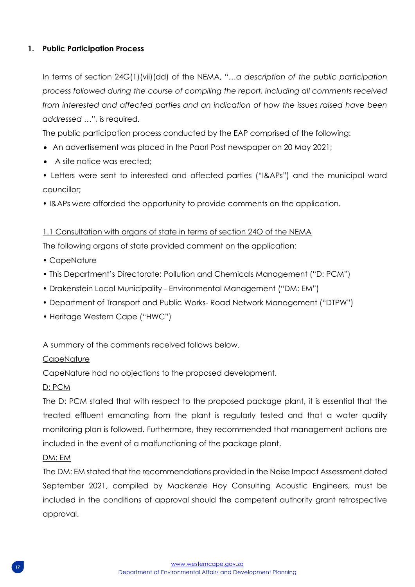## **1. Public Participation Process**

In terms of section 24G(1)(vii)(dd) of the NEMA, "…*a description of the public participation process followed during the course of compiling the report, including all comments received from interested and affected parties and an indication of how the issues raised have been addressed* …", is required.

The public participation process conducted by the EAP comprised of the following:

- An advertisement was placed in the Paarl Post newspaper on 20 May 2021;
- A site notice was erected:

• Letters were sent to interested and affected parties ("I&APs") and the municipal ward councillor;

• I&APs were afforded the opportunity to provide comments on the application.

## 1.1 Consultation with organs of state in terms of section 24O of the NEMA

The following organs of state provided comment on the application:

- CapeNature
- This Department's Directorate: Pollution and Chemicals Management ("D: PCM")
- Drakenstein Local Municipality Environmental Management ("DM: EM")
- Department of Transport and Public Works- Road Network Management ("DTPW")
- Heritage Western Cape ("HWC")

A summary of the comments received follows below.

## **CapeNature**

CapeNature had no objections to the proposed development.

## D: PCM

The D: PCM stated that with respect to the proposed package plant, it is essential that the treated effluent emanating from the plant is regularly tested and that a water quality monitoring plan is followed. Furthermore, they recommended that management actions are included in the event of a malfunctioning of the package plant.

## DM: EM

The DM: EM stated that the recommendations provided in the Noise Impact Assessment dated September 2021, compiled by Mackenzie Hoy Consulting Acoustic Engineers, must be included in the conditions of approval should the competent authority grant retrospective approval.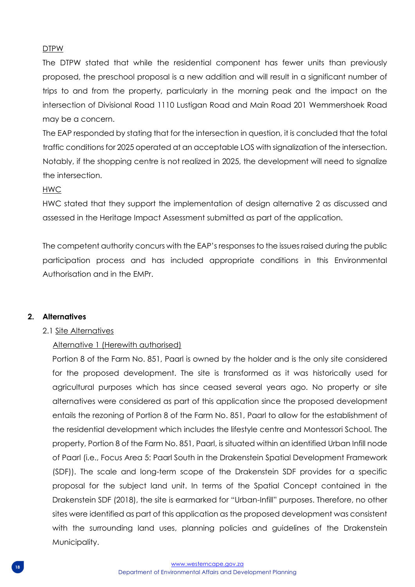## DTPW

The DTPW stated that while the residential component has fewer units than previously proposed, the preschool proposal is a new addition and will result in a significant number of trips to and from the property, particularly in the morning peak and the impact on the intersection of Divisional Road 1110 Lustigan Road and Main Road 201 Wemmershoek Road may be a concern.

The EAP responded by stating that for the intersection in question, it is concluded that the total traffic conditions for 2025 operated at an acceptable LOS with signalization of the intersection. Notably, if the shopping centre is not realized in 2025, the development will need to signalize the intersection.

## HWC

HWC stated that they support the implementation of design alternative 2 as discussed and assessed in the Heritage Impact Assessment submitted as part of the application.

The competent authority concurs with the EAP's responses to the issues raised during the public participation process and has included appropriate conditions in this Environmental Authorisation and in the EMPr.

## **2. Alternatives**

## 2.1 Site Alternatives

## Alternative 1 (Herewith authorised)

Portion 8 of the Farm No. 851, Paarl is owned by the holder and is the only site considered for the proposed development. The site is transformed as it was historically used for agricultural purposes which has since ceased several years ago. No property or site alternatives were considered as part of this application since the proposed development entails the rezoning of Portion 8 of the Farm No. 851, Paarl to allow for the establishment of the residential development which includes the lifestyle centre and Montessori School. The property, Portion 8 of the Farm No. 851, Paarl, is situated within an identified Urban Infill node of Paarl (i.e., Focus Area 5: Paarl South in the Drakenstein Spatial Development Framework (SDF)). The scale and long-term scope of the Drakenstein SDF provides for a specific proposal for the subject land unit. In terms of the Spatial Concept contained in the Drakenstein SDF (2018), the site is earmarked for "Urban-Infill" purposes. Therefore, no other sites were identified as part of this application as the proposed development was consistent with the surrounding land uses, planning policies and guidelines of the Drakenstein Municipality.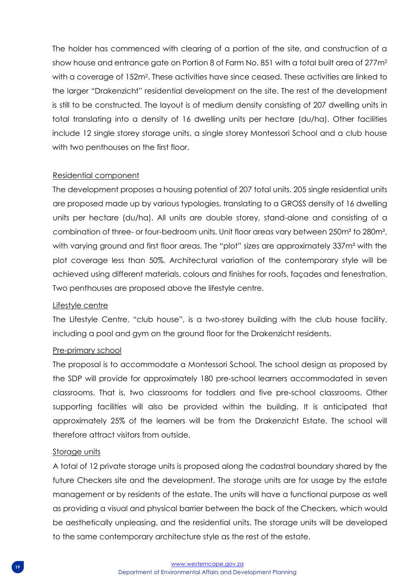The holder has commenced with clearing of a portion of the site, and construction of a show house and entrance gate on Portion 8 of Farm No. 851 with a total built area of 277m<sup>2</sup> with a coverage of 152m<sup>2</sup>. These activities have since ceased. These activities are linked to the larger "Drakenzicht" residential development on the site. The rest of the development is still to be constructed. The layout is of medium density consisting of 207 dwelling units in total translating into a density of 16 dwelling units per hectare (du/ha). Other facilities include 12 single storey storage units, a single storey Montessori School and a club house with two penthouses on the first floor.

#### Residential component

The development proposes a housing potential of 207 total units. 205 single residential units are proposed made up by various typologies, translating to a GROSS density of 16 dwelling units per hectare (du/ha). All units are double storey, stand-alone and consisting of a combination of three- or four-bedroom units. Unit floor areas vary between 250m² to 280m², with varying ground and first floor areas. The "plot" sizes are approximately 337m<sup>2</sup> with the plot coverage less than 50%. Architectural variation of the contemporary style will be achieved using different materials, colours and finishes for roofs, façades and fenestration. Two penthouses are proposed above the lifestyle centre.

#### Lifestyle centre

The Lifestyle Centre, "club house", is a two-storey building with the club house facility, including a pool and gym on the ground floor for the Drakenzicht residents.

## Pre-primary school

The proposal is to accommodate a Montessori School. The school design as proposed by the SDP will provide for approximately 180 pre-school learners accommodated in seven classrooms. That is, two classrooms for toddlers and five pre-school classrooms. Other supporting facilities will also be provided within the building. It is anticipated that approximately 25% of the learners will be from the Drakenzicht Estate. The school will therefore attract visitors from outside.

#### Storage units

A total of 12 private storage units is proposed along the cadastral boundary shared by the future Checkers site and the development. The storage units are for usage by the estate management or by residents of the estate. The units will have a functional purpose as well as providing a visual and physical barrier between the back of the Checkers, which would be aesthetically unpleasing, and the residential units. The storage units will be developed to the same contemporary architecture style as the rest of the estate.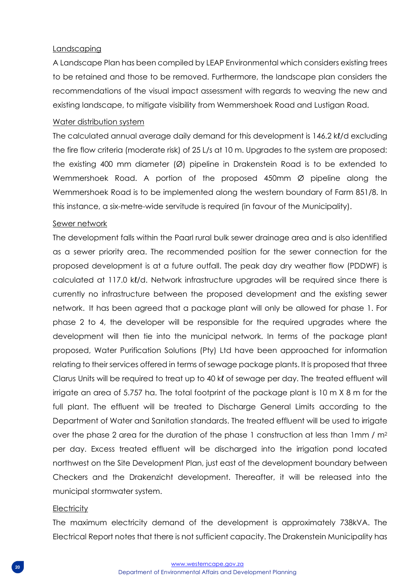#### Landscaping

A Landscape Plan has been compiled by LEAP Environmental which considers existing trees to be retained and those to be removed. Furthermore, the landscape plan considers the recommendations of the visual impact assessment with regards to weaving the new and existing landscape, to mitigate visibility from Wemmershoek Road and Lustigan Road.

#### Water distribution system

The calculated annual average daily demand for this development is 146.2 kl/d excluding the fire flow criteria (moderate risk) of 25 L/s at 10 m. Upgrades to the system are proposed: the existing 400 mm diameter (Ø) pipeline in Drakenstein Road is to be extended to Wemmershoek Road. A portion of the proposed 450mm  $\varnothing$  pipeline along the Wemmershoek Road is to be implemented along the western boundary of Farm 851/8. In this instance, a six-metre-wide servitude is required (in favour of the Municipality).

#### Sewer network

The development falls within the Paarl rural bulk sewer drainage area and is also identified as a sewer priority area. The recommended position for the sewer connection for the proposed development is at a future outfall. The peak day dry weather flow (PDDWF) is calculated at 117.0 kl/d. Network infrastructure upgrades will be required since there is currently no infrastructure between the proposed development and the existing sewer network. It has been agreed that a package plant will only be allowed for phase 1. For phase 2 to 4, the developer will be responsible for the required upgrades where the development will then tie into the municipal network. In terms of the package plant proposed, Water Purification Solutions (Pty) Ltd have been approached for information relating to their services offered in terms of sewage package plants. It is proposed that three Clarus Units will be required to treat up to 40 kℓ of sewage per day. The treated effluent will irrigate an area of 5.757 ha. The total footprint of the package plant is 10 m X 8 m for the full plant. The effluent will be treated to Discharge General Limits according to the Department of Water and Sanitation standards. The treated effluent will be used to irrigate over the phase 2 area for the duration of the phase 1 construction at less than 1mm / m<sup>2</sup> per day. Excess treated effluent will be discharged into the irrigation pond located northwest on the Site Development Plan, just east of the development boundary between Checkers and the Drakenzicht development. Thereafter, it will be released into the municipal stormwater system.

#### **Electricity**

The maximum electricity demand of the development is approximately 738kVA. The Electrical Report notes that there is not sufficient capacity. The Drakenstein Municipality has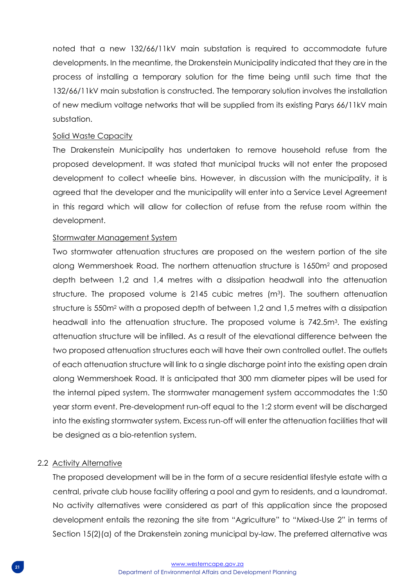noted that a new 132/66/11kV main substation is required to accommodate future developments. In the meantime, the Drakenstein Municipality indicated that they are in the process of installing a temporary solution for the time being until such time that the 132/66/11kV main substation is constructed. The temporary solution involves the installation of new medium voltage networks that will be supplied from its existing Parys 66/11kV main substation.

#### Solid Waste Capacity

The Drakenstein Municipality has undertaken to remove household refuse from the proposed development. It was stated that municipal trucks will not enter the proposed development to collect wheelie bins. However, in discussion with the municipality, it is agreed that the developer and the municipality will enter into a Service Level Agreement in this regard which will allow for collection of refuse from the refuse room within the development.

#### Stormwater Management System

Two stormwater attenuation structures are proposed on the western portion of the site along Wemmershoek Road. The northern attenuation structure is 1650m<sup>2</sup> and proposed depth between 1,2 and 1,4 metres with a dissipation headwall into the attenuation structure. The proposed volume is 2145 cubic metres (m<sup>3</sup>). The southern attenuation structure is 550m<sup>2</sup> with a proposed depth of between 1,2 and 1,5 metres with a dissipation headwall into the attenuation structure. The proposed volume is 742.5m<sup>3</sup>. The existing attenuation structure will be infilled. As a result of the elevational difference between the two proposed attenuation structures each will have their own controlled outlet. The outlets of each attenuation structure will link to a single discharge point into the existing open drain along Wemmershoek Road. It is anticipated that 300 mm diameter pipes will be used for the internal piped system. The stormwater management system accommodates the 1:50 year storm event. Pre-development run-off equal to the 1:2 storm event will be discharged into the existing stormwater system. Excess run-off will enter the attenuation facilities that will be designed as a bio-retention system.

## 2.2 Activity Alternative

The proposed development will be in the form of a secure residential lifestyle estate with a central, private club house facility offering a pool and gym to residents, and a laundromat. No activity alternatives were considered as part of this application since the proposed development entails the rezoning the site from "Agriculture" to "Mixed-Use 2" in terms of Section 15(2)(a) of the Drakenstein zoning municipal by-law. The preferred alternative was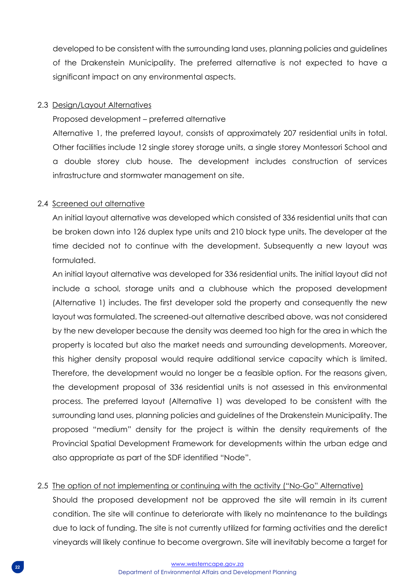developed to be consistent with the surrounding land uses, planning policies and guidelines of the Drakenstein Municipality. The preferred alternative is not expected to have a significant impact on any environmental aspects.

#### 2.3 Design/Layout Alternatives

Proposed development – preferred alternative

Alternative 1, the preferred layout, consists of approximately 207 residential units in total. Other facilities include 12 single storey storage units, a single storey Montessori School and a double storey club house. The development includes construction of services infrastructure and stormwater management on site.

## 2.4 Screened out alternative

An initial layout alternative was developed which consisted of 336 residential units that can be broken down into 126 duplex type units and 210 block type units. The developer at the time decided not to continue with the development. Subsequently a new layout was formulated.

An initial layout alternative was developed for 336 residential units. The initial layout did not include a school, storage units and a clubhouse which the proposed development (Alternative 1) includes. The first developer sold the property and consequently the new layout was formulated. The screened-out alternative described above, was not considered by the new developer because the density was deemed too high for the area in which the property is located but also the market needs and surrounding developments. Moreover, this higher density proposal would require additional service capacity which is limited. Therefore, the development would no longer be a feasible option. For the reasons given, the development proposal of 336 residential units is not assessed in this environmental process. The preferred layout (Alternative 1) was developed to be consistent with the surrounding land uses, planning policies and guidelines of the Drakenstein Municipality. The proposed "medium" density for the project is within the density requirements of the Provincial Spatial Development Framework for developments within the urban edge and also appropriate as part of the SDF identified "Node".

## 2.5 The option of not implementing or continuing with the activity ("No-Go" Alternative)

Should the proposed development not be approved the site will remain in its current condition. The site will continue to deteriorate with likely no maintenance to the buildings due to lack of funding. The site is not currently utilized for farming activities and the derelict vineyards will likely continue to become overgrown. Site will inevitably become a target for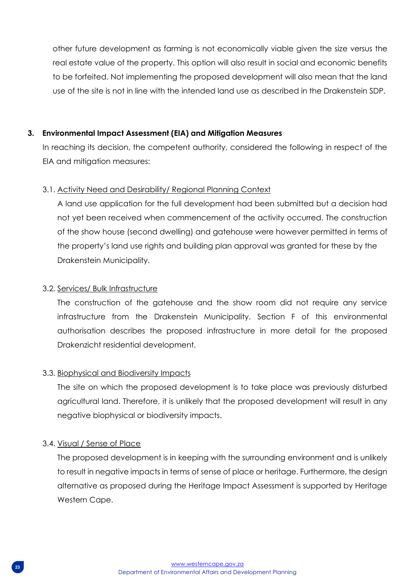other future development as farming is not economically viable given the size versus the real estate value of the property. This option will also result in social and economic benefits to be forfeited. Not implementing the proposed development will also mean that the land use of the site is not in line with the intended land use as described in the Drakenstein SDP.

## **3. Environmental Impact Assessment (EIA) and Mitigation Measures**

In reaching its decision, the competent authority, considered the following in respect of the EIA and mitigation measures:

## 3.1. Activity Need and Desirability/ Regional Planning Context

A land use application for the full development had been submitted but a decision had not yet been received when commencement of the activity occurred. The construction of the show house (second dwelling) and gatehouse were however permitted in terms of the property's land use rights and building plan approval was granted for these by the Drakenstein Municipality.

## 3.2. Services/ Bulk Infrastructure

The construction of the gatehouse and the show room did not require any service infrastructure from the Drakenstein Municipality. Section F of this environmental authorisation describes the proposed infrastructure in more detail for the proposed Drakenzicht residential development.

## 3.3. Biophysical and Biodiversity Impacts

The site on which the proposed development is to take place was previously disturbed agricultural land. Therefore, it is unlikely that the proposed development will result in any negative biophysical or biodiversity impacts.

## 3.4. Visual / Sense of Place

The proposed development is in keeping with the surrounding environment and is unlikely to result in negative impacts in terms of sense of place or heritage. Furthermore, the design alternative as proposed during the Heritage Impact Assessment is supported by Heritage Western Cape.